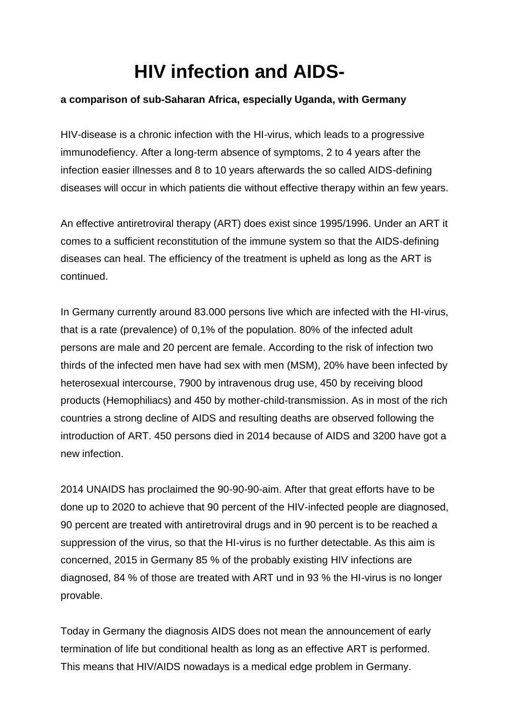## **HIV infection and AIDS-**

## **a comparison of sub-Saharan Africa, especially Uganda, with Germany**

HIV-disease is a chronic infection with the HI-virus, which leads to a progressive immunodefiency. After a long-term absence of symptoms, 2 to 4 years after the infection easier illnesses and 8 to 10 years afterwards the so called AIDS-defining diseases will occur in which patients die without effective therapy within an few years.

An effective antiretroviral therapy (ART) does exist since 1995/1996. Under an ART it comes to a sufficient reconstitution of the immune system so that the AIDS-defining diseases can heal. The efficiency of the treatment is upheld as long as the ART is continued.

In Germany currently around 83.000 persons live which are infected with the HI-virus, that is a rate (prevalence) of 0,1% of the population. 80% of the infected adult persons are male and 20 percent are female. According to the risk of infection two thirds of the infected men have had sex with men (MSM), 20% have been infected by heterosexual intercourse, 7900 by intravenous drug use, 450 by receiving blood products (Hemophiliacs) and 450 by mother-child-transmission. As in most of the rich countries a strong decline of AIDS and resulting deaths are observed following the introduction of ART. 450 persons died in 2014 because of AIDS and 3200 have got a new infection.

2014 UNAIDS has proclaimed the 90-90-90-aim. After that great efforts have to be done up to 2020 to achieve that 90 percent of the HIV-infected people are diagnosed, 90 percent are treated with antiretroviral drugs and in 90 percent is to be reached a suppression of the virus, so that the HI-virus is no further detectable. As this aim is concerned, 2015 in Germany 85 % of the probably existing HIV infections are diagnosed, 84 % of those are treated with ART und in 93 % the HI-virus is no longer provable.

Today in Germany the diagnosis AIDS does not mean the announcement of early termination of life but conditional health as long as an effective ART is performed. This means that HIV/AIDS nowadays is a medical edge problem in Germany.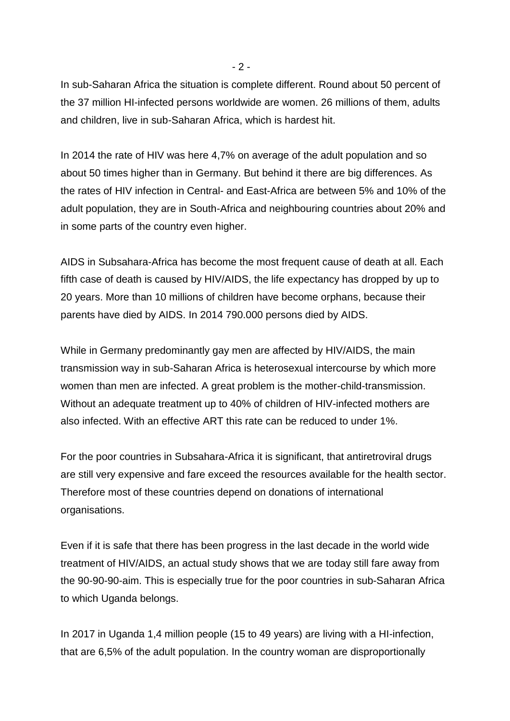In sub-Saharan Africa the situation is complete different. Round about 50 percent of the 37 million HI-infected persons worldwide are women. 26 millions of them, adults and children, live in sub-Saharan Africa, which is hardest hit.

In 2014 the rate of HIV was here 4,7% on average of the adult population and so about 50 times higher than in Germany. But behind it there are big differences. As the rates of HIV infection in Central- and East-Africa are between 5% and 10% of the adult population, they are in South-Africa and neighbouring countries about 20% and in some parts of the country even higher.

AIDS in Subsahara-Africa has become the most frequent cause of death at all. Each fifth case of death is caused by HIV/AIDS, the life expectancy has dropped by up to 20 years. More than 10 millions of children have become orphans, because their parents have died by AIDS. In 2014 790.000 persons died by AIDS.

While in Germany predominantly gay men are affected by HIV/AIDS, the main transmission way in sub-Saharan Africa is heterosexual intercourse by which more women than men are infected. A great problem is the mother-child-transmission. Without an adequate treatment up to 40% of children of HIV-infected mothers are also infected. With an effective ART this rate can be reduced to under 1%.

For the poor countries in Subsahara-Africa it is significant, that antiretroviral drugs are still very expensive and fare exceed the resources available for the health sector. Therefore most of these countries depend on donations of international organisations.

Even if it is safe that there has been progress in the last decade in the world wide treatment of HIV/AIDS, an actual study shows that we are today still fare away from the 90-90-90-aim. This is especially true for the poor countries in sub-Saharan Africa to which Uganda belongs.

In 2017 in Uganda 1,4 million people (15 to 49 years) are living with a HI-infection, that are 6,5% of the adult population. In the country woman are disproportionally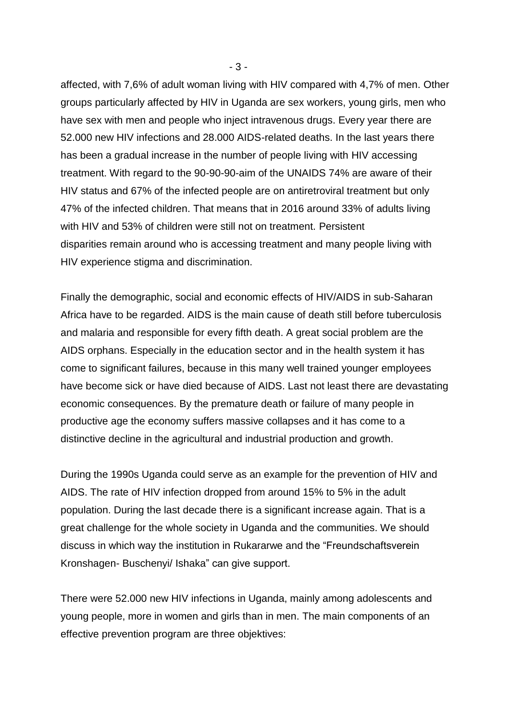affected, with 7,6% of adult woman living with HIV compared with 4,7% of men. Other groups particularly affected by HIV in Uganda are sex workers, young girls, men who have sex with men and people who inject intravenous drugs. Every year there are 52.000 new HIV infections and 28.000 AIDS-related deaths. In the last years there has been a gradual increase in the number of people living with HIV accessing treatment. With regard to the 90-90-90-aim of the UNAIDS 74% are aware of their HIV status and 67% of the infected people are on antiretroviral treatment but only 47% of the infected children. That means that in 2016 around 33% of adults living with HIV and 53% of children were still not on treatment. Persistent disparities remain around who is accessing treatment and many people living with HIV experience stigma and discrimination.

Finally the demographic, social and economic effects of HIV/AIDS in sub-Saharan Africa have to be regarded. AIDS is the main cause of death still before tuberculosis and malaria and responsible for every fifth death. A great social problem are the AIDS orphans. Especially in the education sector and in the health system it has come to significant failures, because in this many well trained younger employees have become sick or have died because of AIDS. Last not least there are devastating economic consequences. By the premature death or failure of many people in productive age the economy suffers massive collapses and it has come to a distinctive decline in the agricultural and industrial production and growth.

During the 1990s Uganda could serve as an example for the prevention of HIV and AIDS. The rate of HIV infection dropped from around 15% to 5% in the adult population. During the last decade there is a significant increase again. That is a great challenge for the whole society in Uganda and the communities. We should discuss in which way the institution in Rukararwe and the "Freundschaftsverein Kronshagen- Buschenyi/ Ishaka" can give support.

There were 52.000 new HIV infections in Uganda, mainly among adolescents and young people, more in women and girls than in men. The main components of an effective prevention program are three objektives: